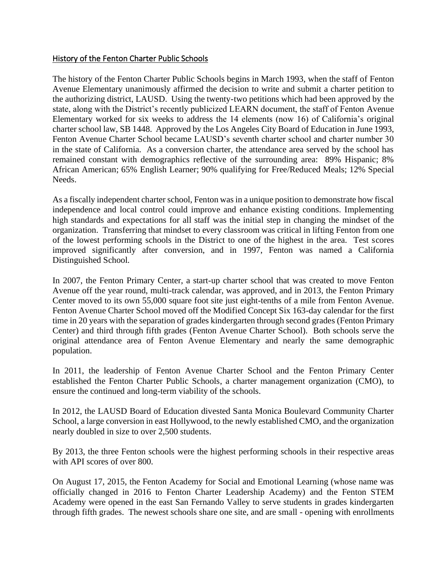# History of the Fenton Charter Public Schools

The history of the Fenton Charter Public Schools begins in March 1993, when the staff of Fenton Avenue Elementary unanimously affirmed the decision to write and submit a charter petition to the authorizing district, LAUSD. Using the twenty-two petitions which had been approved by the state, along with the District's recently publicized LEARN document, the staff of Fenton Avenue Elementary worked for six weeks to address the 14 elements (now 16) of California's original charter school law, SB 1448. Approved by the Los Angeles City Board of Education in June 1993, Fenton Avenue Charter School became LAUSD's seventh charter school and charter number 30 in the state of California. As a conversion charter, the attendance area served by the school has remained constant with demographics reflective of the surrounding area: 89% Hispanic; 8% African American; 65% English Learner; 90% qualifying for Free/Reduced Meals; 12% Special Needs.

As a fiscally independent charter school, Fenton was in a unique position to demonstrate how fiscal independence and local control could improve and enhance existing conditions. Implementing high standards and expectations for all staff was the initial step in changing the mindset of the organization. Transferring that mindset to every classroom was critical in lifting Fenton from one of the lowest performing schools in the District to one of the highest in the area. Test scores improved significantly after conversion, and in 1997, Fenton was named a California Distinguished School.

In 2007, the Fenton Primary Center, a start-up charter school that was created to move Fenton Avenue off the year round, multi-track calendar, was approved, and in 2013, the Fenton Primary Center moved to its own 55,000 square foot site just eight-tenths of a mile from Fenton Avenue. Fenton Avenue Charter School moved off the Modified Concept Six 163-day calendar for the first time in 20 years with the separation of grades kindergarten through second grades (Fenton Primary Center) and third through fifth grades (Fenton Avenue Charter School). Both schools serve the original attendance area of Fenton Avenue Elementary and nearly the same demographic population.

In 2011, the leadership of Fenton Avenue Charter School and the Fenton Primary Center established the Fenton Charter Public Schools, a charter management organization (CMO), to ensure the continued and long-term viability of the schools.

In 2012, the LAUSD Board of Education divested Santa Monica Boulevard Community Charter School, a large conversion in east Hollywood, to the newly established CMO, and the organization nearly doubled in size to over 2,500 students.

By 2013, the three Fenton schools were the highest performing schools in their respective areas with API scores of over 800.

On August 17, 2015, the Fenton Academy for Social and Emotional Learning (whose name was officially changed in 2016 to Fenton Charter Leadership Academy) and the Fenton STEM Academy were opened in the east San Fernando Valley to serve students in grades kindergarten through fifth grades. The newest schools share one site, and are small - opening with enrollments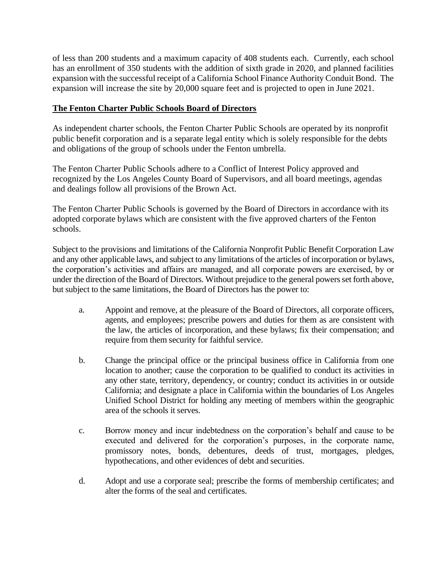of less than 200 students and a maximum capacity of 408 students each. Currently, each school has an enrollment of 350 students with the addition of sixth grade in 2020, and planned facilities expansion with the successful receipt of a California School Finance Authority Conduit Bond. The expansion will increase the site by 20,000 square feet and is projected to open in June 2021.

# **The Fenton Charter Public Schools Board of Directors**

As independent charter schools, the Fenton Charter Public Schools are operated by its nonprofit public benefit corporation and is a separate legal entity which is solely responsible for the debts and obligations of the group of schools under the Fenton umbrella.

The Fenton Charter Public Schools adhere to a Conflict of Interest Policy approved and recognized by the Los Angeles County Board of Supervisors, and all board meetings, agendas and dealings follow all provisions of the Brown Act.

The Fenton Charter Public Schools is governed by the Board of Directors in accordance with its adopted corporate bylaws which are consistent with the five approved charters of the Fenton schools.

Subject to the provisions and limitations of the California Nonprofit Public Benefit Corporation Law and any other applicable laws, and subject to any limitations of the articles of incorporation or bylaws, the corporation's activities and affairs are managed, and all corporate powers are exercised, by or under the direction of the Board of Directors. Without prejudice to the general powers set forth above, but subject to the same limitations, the Board of Directors has the power to:

- a. Appoint and remove, at the pleasure of the Board of Directors, all corporate officers, agents, and employees; prescribe powers and duties for them as are consistent with the law, the articles of incorporation, and these bylaws; fix their compensation; and require from them security for faithful service.
- b. Change the principal office or the principal business office in California from one location to another; cause the corporation to be qualified to conduct its activities in any other state, territory, dependency, or country; conduct its activities in or outside California; and designate a place in California within the boundaries of Los Angeles Unified School District for holding any meeting of members within the geographic area of the schools it serves.
- c. Borrow money and incur indebtedness on the corporation's behalf and cause to be executed and delivered for the corporation's purposes, in the corporate name, promissory notes, bonds, debentures, deeds of trust, mortgages, pledges, hypothecations, and other evidences of debt and securities.
- d. Adopt and use a corporate seal; prescribe the forms of membership certificates; and alter the forms of the seal and certificates.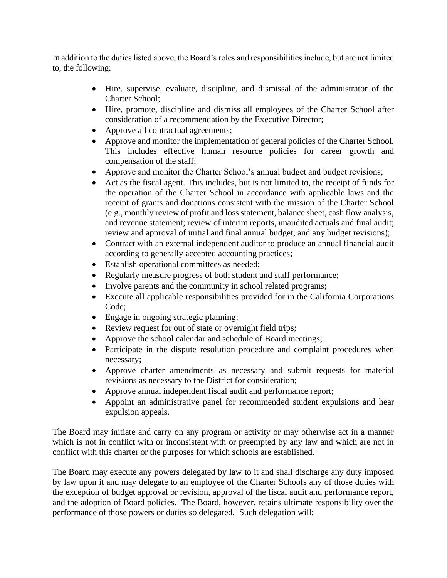In addition to the duties listed above, the Board's roles and responsibilities include, but are not limited to, the following:

- Hire, supervise, evaluate, discipline, and dismissal of the administrator of the Charter School;
- Hire, promote, discipline and dismiss all employees of the Charter School after consideration of a recommendation by the Executive Director;
- Approve all contractual agreements;
- Approve and monitor the implementation of general policies of the Charter School. This includes effective human resource policies for career growth and compensation of the staff;
- Approve and monitor the Charter School's annual budget and budget revisions;
- Act as the fiscal agent. This includes, but is not limited to, the receipt of funds for the operation of the Charter School in accordance with applicable laws and the receipt of grants and donations consistent with the mission of the Charter School (e.g., monthly review of profit and loss statement, balance sheet, cash flow analysis, and revenue statement; review of interim reports, unaudited actuals and final audit; review and approval of initial and final annual budget, and any budget revisions);
- Contract with an external independent auditor to produce an annual financial audit according to generally accepted accounting practices;
- Establish operational committees as needed;
- Regularly measure progress of both student and staff performance;
- Involve parents and the community in school related programs;
- Execute all applicable responsibilities provided for in the California Corporations Code;
- Engage in ongoing strategic planning;
- Review request for out of state or overnight field trips;
- Approve the school calendar and schedule of Board meetings;
- Participate in the dispute resolution procedure and complaint procedures when necessary;
- Approve charter amendments as necessary and submit requests for material revisions as necessary to the District for consideration;
- Approve annual independent fiscal audit and performance report;
- Appoint an administrative panel for recommended student expulsions and hear expulsion appeals.

The Board may initiate and carry on any program or activity or may otherwise act in a manner which is not in conflict with or inconsistent with or preempted by any law and which are not in conflict with this charter or the purposes for which schools are established.

The Board may execute any powers delegated by law to it and shall discharge any duty imposed by law upon it and may delegate to an employee of the Charter Schools any of those duties with the exception of budget approval or revision, approval of the fiscal audit and performance report, and the adoption of Board policies. The Board, however, retains ultimate responsibility over the performance of those powers or duties so delegated. Such delegation will: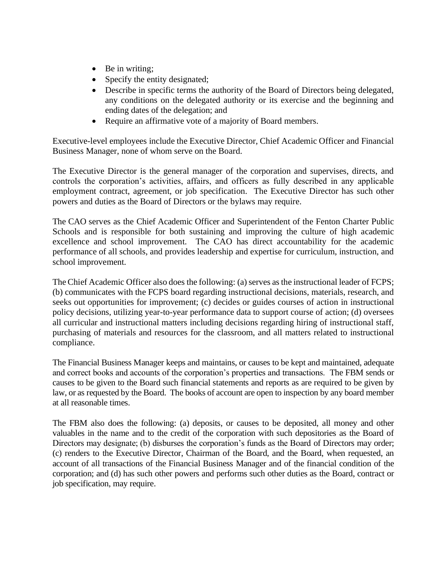- Be in writing;
- Specify the entity designated;
- Describe in specific terms the authority of the Board of Directors being delegated, any conditions on the delegated authority or its exercise and the beginning and ending dates of the delegation; and
- Require an affirmative vote of a majority of Board members.

Executive-level employees include the Executive Director, Chief Academic Officer and Financial Business Manager, none of whom serve on the Board.

The Executive Director is the general manager of the corporation and supervises, directs, and controls the corporation's activities, affairs, and officers as fully described in any applicable employment contract, agreement, or job specification. The Executive Director has such other powers and duties as the Board of Directors or the bylaws may require.

The CAO serves as the Chief Academic Officer and Superintendent of the Fenton Charter Public Schools and is responsible for both sustaining and improving the culture of high academic excellence and school improvement. The CAO has direct accountability for the academic performance of all schools, and provides leadership and expertise for curriculum, instruction, and school improvement.

The Chief Academic Officer also does the following: (a) serves as the instructional leader of FCPS; (b) communicates with the FCPS board regarding instructional decisions, materials, research, and seeks out opportunities for improvement; (c) decides or guides courses of action in instructional policy decisions, utilizing year-to-year performance data to support course of action; (d) oversees all curricular and instructional matters including decisions regarding hiring of instructional staff, purchasing of materials and resources for the classroom, and all matters related to instructional compliance.

The Financial Business Manager keeps and maintains, or causes to be kept and maintained, adequate and correct books and accounts of the corporation's properties and transactions. The FBM sends or causes to be given to the Board such financial statements and reports as are required to be given by law, or as requested by the Board. The books of account are open to inspection by any board member at all reasonable times.

The FBM also does the following: (a) deposits, or causes to be deposited, all money and other valuables in the name and to the credit of the corporation with such depositories as the Board of Directors may designate; (b) disburses the corporation's funds as the Board of Directors may order; (c) renders to the Executive Director, Chairman of the Board, and the Board, when requested, an account of all transactions of the Financial Business Manager and of the financial condition of the corporation; and (d) has such other powers and performs such other duties as the Board, contract or job specification, may require.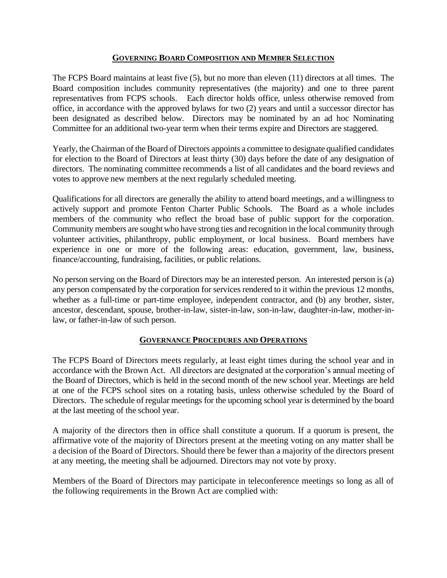## **GOVERNING BOARD COMPOSITION AND MEMBER SELECTION**

The FCPS Board maintains at least five (5), but no more than eleven (11) directors at all times. The Board composition includes community representatives (the majority) and one to three parent representatives from FCPS schools. Each director holds office, unless otherwise removed from office, in accordance with the approved bylaws for two (2) years and until a successor director has been designated as described below. Directors may be nominated by an ad hoc Nominating Committee for an additional two-year term when their terms expire and Directors are staggered.

Yearly, the Chairman of the Board of Directors appoints a committee to designate qualified candidates for election to the Board of Directors at least thirty (30) days before the date of any designation of directors. The nominating committee recommends a list of all candidates and the board reviews and votes to approve new members at the next regularly scheduled meeting.

Qualifications for all directors are generally the ability to attend board meetings, and a willingness to actively support and promote Fenton Charter Public Schools. The Board as a whole includes members of the community who reflect the broad base of public support for the corporation. Community members are sought who have strong ties and recognition in the local community through volunteer activities, philanthropy, public employment, or local business. Board members have experience in one or more of the following areas: education, government, law, business, finance/accounting, fundraising, facilities, or public relations.

No person serving on the Board of Directors may be an interested person. An interested person is (a) any person compensated by the corporation for services rendered to it within the previous 12 months, whether as a full-time or part-time employee, independent contractor, and (b) any brother, sister, ancestor, descendant, spouse, brother-in-law, sister-in-law, son-in-law, daughter-in-law, mother-inlaw, or father-in-law of such person.

# **GOVERNANCE PROCEDURES AND OPERATIONS**

The FCPS Board of Directors meets regularly, at least eight times during the school year and in accordance with the Brown Act. All directors are designated at the corporation's annual meeting of the Board of Directors, which is held in the second month of the new school year. Meetings are held at one of the FCPS school sites on a rotating basis, unless otherwise scheduled by the Board of Directors. The schedule of regular meetings for the upcoming school year is determined by the board at the last meeting of the school year.

A majority of the directors then in office shall constitute a quorum. If a quorum is present, the affirmative vote of the majority of Directors present at the meeting voting on any matter shall be a decision of the Board of Directors. Should there be fewer than a majority of the directors present at any meeting, the meeting shall be adjourned. Directors may not vote by proxy.

Members of the Board of Directors may participate in teleconference meetings so long as all of the following requirements in the Brown Act are complied with: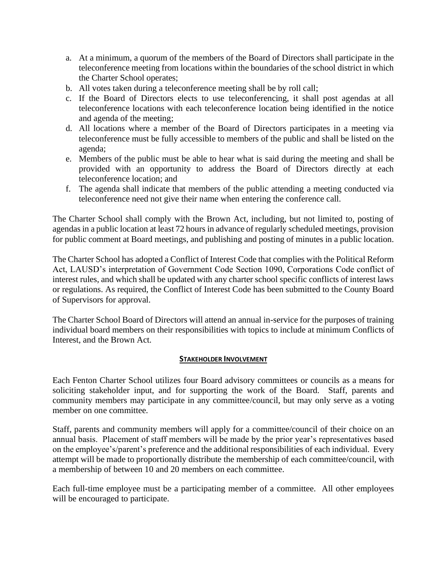- a. At a minimum, a quorum of the members of the Board of Directors shall participate in the teleconference meeting from locations within the boundaries of the school district in which the Charter School operates;
- b. All votes taken during a teleconference meeting shall be by roll call;
- c. If the Board of Directors elects to use teleconferencing, it shall post agendas at all teleconference locations with each teleconference location being identified in the notice and agenda of the meeting;
- d. All locations where a member of the Board of Directors participates in a meeting via teleconference must be fully accessible to members of the public and shall be listed on the agenda;
- e. Members of the public must be able to hear what is said during the meeting and shall be provided with an opportunity to address the Board of Directors directly at each teleconference location; and
- f. The agenda shall indicate that members of the public attending a meeting conducted via teleconference need not give their name when entering the conference call.

The Charter School shall comply with the Brown Act, including, but not limited to, posting of agendas in a public location at least 72 hours in advance of regularly scheduled meetings, provision for public comment at Board meetings, and publishing and posting of minutes in a public location.

The Charter School has adopted a Conflict of Interest Code that complies with the Political Reform Act, LAUSD's interpretation of Government Code Section 1090, Corporations Code conflict of interest rules, and which shall be updated with any charter school specific conflicts of interest laws or regulations. As required, the Conflict of Interest Code has been submitted to the County Board of Supervisors for approval.

The Charter School Board of Directors will attend an annual in-service for the purposes of training individual board members on their responsibilities with topics to include at minimum Conflicts of Interest, and the Brown Act.

# **STAKEHOLDER INVOLVEMENT**

Each Fenton Charter School utilizes four Board advisory committees or councils as a means for soliciting stakeholder input, and for supporting the work of the Board. Staff, parents and community members may participate in any committee/council, but may only serve as a voting member on one committee.

Staff, parents and community members will apply for a committee/council of their choice on an annual basis. Placement of staff members will be made by the prior year's representatives based on the employee's/parent's preference and the additional responsibilities of each individual. Every attempt will be made to proportionally distribute the membership of each committee/council, with a membership of between 10 and 20 members on each committee.

Each full-time employee must be a participating member of a committee. All other employees will be encouraged to participate.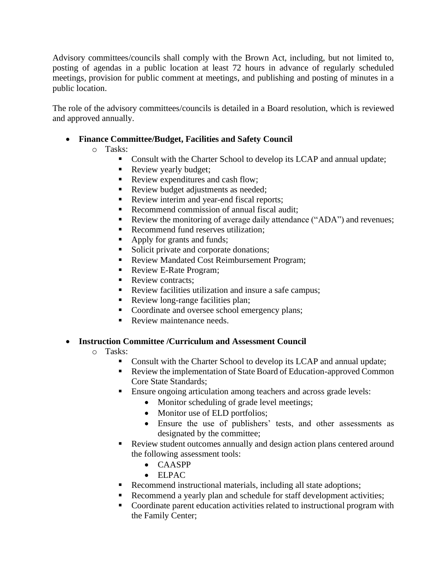Advisory committees/councils shall comply with the Brown Act, including, but not limited to, posting of agendas in a public location at least 72 hours in advance of regularly scheduled meetings, provision for public comment at meetings, and publishing and posting of minutes in a public location.

The role of the advisory committees/councils is detailed in a Board resolution, which is reviewed and approved annually.

- **Finance Committee/Budget, Facilities and Safety Council**
	- o Tasks:
		- Consult with the Charter School to develop its LCAP and annual update;
		- Review yearly budget:
		- Review expenditures and cash flow;
		- **•** Review budget adjustments as needed;
		- Review interim and year-end fiscal reports;
		- Recommend commission of annual fiscal audit;
		- Review the monitoring of average daily attendance ("ADA") and revenues;
		- Recommend fund reserves utilization:
		- Apply for grants and funds;
		- Solicit private and corporate donations;
		- Review Mandated Cost Reimbursement Program;
		- Review E-Rate Program;
		- Review contracts:
		- Review facilities utilization and insure a safe campus;
		- Review long-range facilities plan;
		- Coordinate and oversee school emergency plans;
		- Review maintenance needs.

# • **Instruction Committee /Curriculum and Assessment Council**

- o Tasks:
	- Consult with the Charter School to develop its LCAP and annual update;
	- Review the implementation of State Board of Education-approved Common Core State Standards;
	- Ensure ongoing articulation among teachers and across grade levels:
		- Monitor scheduling of grade level meetings;
		- Monitor use of ELD portfolios;
		- Ensure the use of publishers' tests, and other assessments as designated by the committee;
	- Review student outcomes annually and design action plans centered around the following assessment tools:
		- CAASPP
		- ELPAC
	- Recommend instructional materials, including all state adoptions;
	- Recommend a yearly plan and schedule for staff development activities;
	- Coordinate parent education activities related to instructional program with the Family Center;